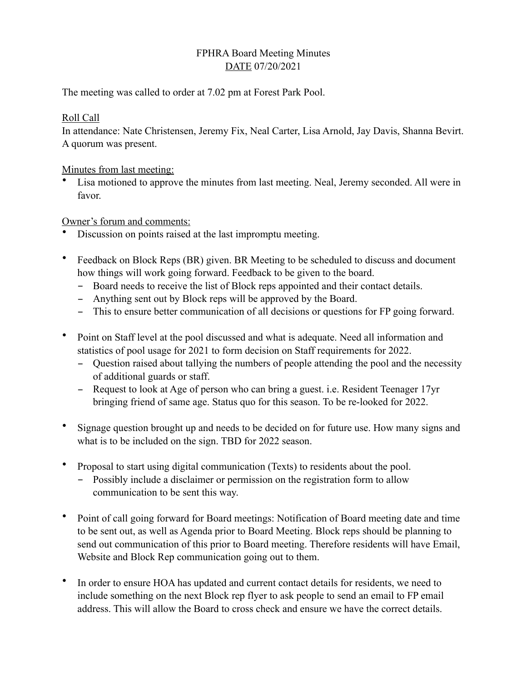## FPHRA Board Meeting Minutes DATE 07/20/2021

The meeting was called to order at 7.02 pm at Forest Park Pool.

### Roll Call

In attendance: Nate Christensen, Jeremy Fix, Neal Carter, Lisa Arnold, Jay Davis, Shanna Bevirt. A quorum was present.

Minutes from last meeting:

Lisa motioned to approve the minutes from last meeting. Neal, Jeremy seconded. All were in favor.

## Owner's forum and comments:

- Discussion on points raised at the last impromptu meeting.
- Feedback on Block Reps (BR) given. BR Meeting to be scheduled to discuss and document how things will work going forward. Feedback to be given to the board.
	- Board needs to receive the list of Block reps appointed and their contact details.
	- Anything sent out by Block reps will be approved by the Board.
	- This to ensure better communication of all decisions or questions for FP going forward.
- Point on Staff level at the pool discussed and what is adequate. Need all information and statistics of pool usage for 2021 to form decision on Staff requirements for 2022.
	- Question raised about tallying the numbers of people attending the pool and the necessity of additional guards or staff.
	- Request to look at Age of person who can bring a guest. i.e. Resident Teenager 17yr bringing friend of same age. Status quo for this season. To be re-looked for 2022.
- Signage question brought up and needs to be decided on for future use. How many signs and what is to be included on the sign. TBD for 2022 season.
- Proposal to start using digital communication (Texts) to residents about the pool.
	- Possibly include a disclaimer or permission on the registration form to allow communication to be sent this way.
- Point of call going forward for Board meetings: Notification of Board meeting date and time to be sent out, as well as Agenda prior to Board Meeting. Block reps should be planning to send out communication of this prior to Board meeting. Therefore residents will have Email, Website and Block Rep communication going out to them.
- In order to ensure HOA has updated and current contact details for residents, we need to include something on the next Block rep flyer to ask people to send an email to FP email address. This will allow the Board to cross check and ensure we have the correct details.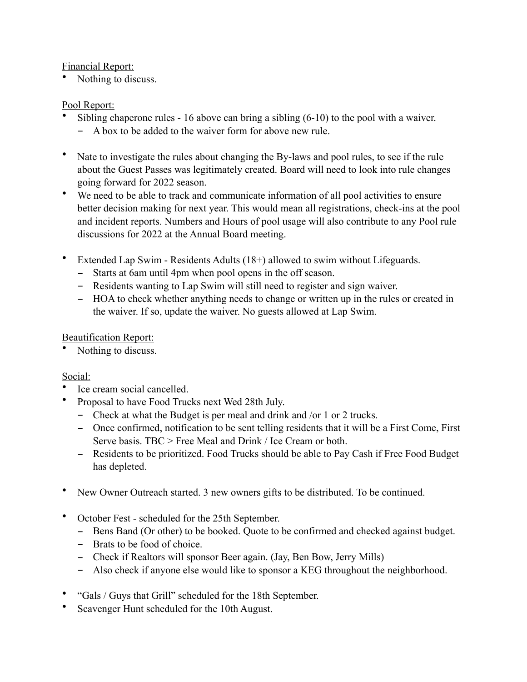## Financial Report:

Nothing to discuss.

## Pool Report:

- Sibling chaperone rules 16 above can bring a sibling (6-10) to the pool with a waiver.
	- A box to be added to the waiver form for above new rule.
- Nate to investigate the rules about changing the By-laws and pool rules, to see if the rule about the Guest Passes was legitimately created. Board will need to look into rule changes going forward for 2022 season.
- We need to be able to track and communicate information of all pool activities to ensure better decision making for next year. This would mean all registrations, check-ins at the pool and incident reports. Numbers and Hours of pool usage will also contribute to any Pool rule discussions for 2022 at the Annual Board meeting.
- Extended Lap Swim Residents Adults (18+) allowed to swim without Lifeguards.
	- Starts at 6am until 4pm when pool opens in the off season.
	- Residents wanting to Lap Swim will still need to register and sign waiver.
	- HOA to check whether anything needs to change or written up in the rules or created in the waiver. If so, update the waiver. No guests allowed at Lap Swim.

## Beautification Report:

Nothing to discuss.

# Social:

- Ice cream social cancelled.
- Proposal to have Food Trucks next Wed 28th July.
	- Check at what the Budget is per meal and drink and /or 1 or 2 trucks.
	- Once confirmed, notification to be sent telling residents that it will be a First Come, First Serve basis. TBC > Free Meal and Drink / Ice Cream or both.
	- Residents to be prioritized. Food Trucks should be able to Pay Cash if Free Food Budget has depleted.
- New Owner Outreach started. 3 new owners gifts to be distributed. To be continued.
- October Fest scheduled for the 25th September.
	- Bens Band (Or other) to be booked. Quote to be confirmed and checked against budget.
	- Brats to be food of choice.
	- Check if Realtors will sponsor Beer again. (Jay, Ben Bow, Jerry Mills)
	- Also check if anyone else would like to sponsor a KEG throughout the neighborhood.
- "Gals / Guys that Grill" scheduled for the 18th September.
- Scavenger Hunt scheduled for the 10th August.